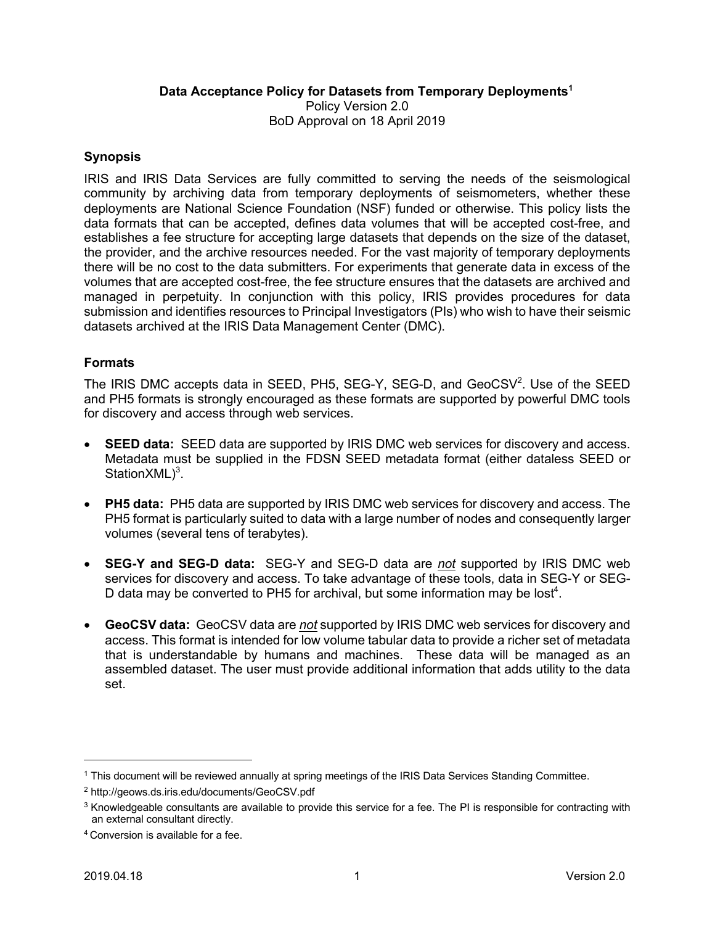### **Data Acceptance Policy for Datasets from Temporary Deployments<sup>1</sup>**

Policy Version 2.0 BoD Approval on 18 April 2019

### **Synopsis**

IRIS and IRIS Data Services are fully committed to serving the needs of the seismological community by archiving data from temporary deployments of seismometers, whether these deployments are National Science Foundation (NSF) funded or otherwise. This policy lists the data formats that can be accepted, defines data volumes that will be accepted cost-free, and establishes a fee structure for accepting large datasets that depends on the size of the dataset, the provider, and the archive resources needed. For the vast majority of temporary deployments there will be no cost to the data submitters. For experiments that generate data in excess of the volumes that are accepted cost-free, the fee structure ensures that the datasets are archived and managed in perpetuity. In conjunction with this policy, IRIS provides procedures for data submission and identifies resources to Principal Investigators (PIs) who wish to have their seismic datasets archived at the IRIS Data Management Center (DMC).

### **Formats**

The IRIS DMC accepts data in SEED, PH5, SEG-Y, SEG-D, and  $GeocSV^2$ . Use of the SEED and PH5 formats is strongly encouraged as these formats are supported by powerful DMC tools for discovery and access through web services.

- **SEED data:** SEED data are supported by IRIS DMC web services for discovery and access. Metadata must be supplied in the FDSN SEED metadata format (either dataless SEED or Station $XML$ <sup>3</sup>.
- **PH5 data:** PH5 data are supported by IRIS DMC web services for discovery and access. The PH5 format is particularly suited to data with a large number of nodes and consequently larger volumes (several tens of terabytes).
- **SEG-Y and SEG-D data:** SEG-Y and SEG-D data are *not* supported by IRIS DMC web services for discovery and access. To take advantage of these tools, data in SEG-Y or SEG-D data may be converted to PH5 for archival, but some information may be lost<sup>4</sup>.
- **GeoCSV data:** GeoCSV data are *not* supported by IRIS DMC web services for discovery and access. This format is intended for low volume tabular data to provide a richer set of metadata that is understandable by humans and machines. These data will be managed as an assembled dataset. The user must provide additional information that adds utility to the data set.

 <sup>1</sup> This document will be reviewed annually at spring meetings of the IRIS Data Services Standing Committee.

<sup>2</sup> http://geows.ds.iris.edu/documents/GeoCSV.pdf

 $3$  Knowledgeable consultants are available to provide this service for a fee. The PI is responsible for contracting with an external consultant directly.

<sup>4</sup> Conversion is available for a fee.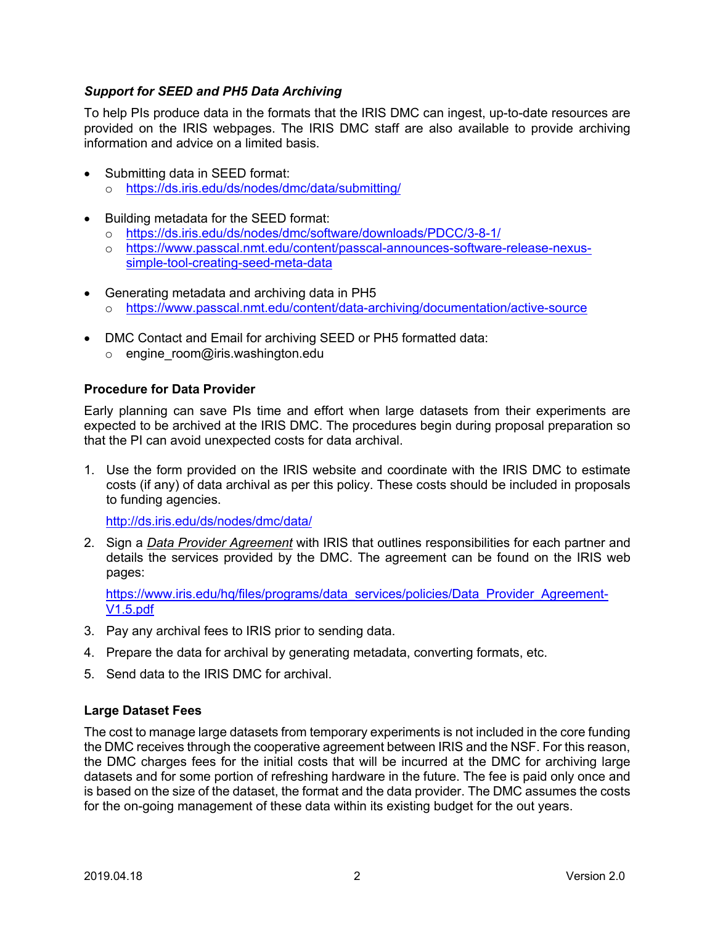## *Support for SEED and PH5 Data Archiving*

To help PIs produce data in the formats that the IRIS DMC can ingest, up-to-date resources are provided on the IRIS webpages. The IRIS DMC staff are also available to provide archiving information and advice on a limited basis.

- Submitting data in SEED format:
	- o https://ds.iris.edu/ds/nodes/dmc/data/submitting/
- Building metadata for the SEED format:
	- o https://ds.iris.edu/ds/nodes/dmc/software/downloads/PDCC/3-8-1/
	- o https://www.passcal.nmt.edu/content/passcal-announces-software-release-nexussimple-tool-creating-seed-meta-data
- Generating metadata and archiving data in PH5
	- o https://www.passcal.nmt.edu/content/data-archiving/documentation/active-source
- DMC Contact and Email for archiving SEED or PH5 formatted data:
	- o engine room@iris.washington.edu

### **Procedure for Data Provider**

Early planning can save PIs time and effort when large datasets from their experiments are expected to be archived at the IRIS DMC. The procedures begin during proposal preparation so that the PI can avoid unexpected costs for data archival.

1. Use the form provided on the IRIS website and coordinate with the IRIS DMC to estimate costs (if any) of data archival as per this policy. These costs should be included in proposals to funding agencies.

http://ds.iris.edu/ds/nodes/dmc/data/

2. Sign a *Data Provider Agreement* with IRIS that outlines responsibilities for each partner and details the services provided by the DMC. The agreement can be found on the IRIS web pages:

https://www.iris.edu/hq/files/programs/data\_services/policies/Data\_Provider\_Agreement-V1.5.pdf

- 3. Pay any archival fees to IRIS prior to sending data.
- 4. Prepare the data for archival by generating metadata, converting formats, etc.
- 5. Send data to the IRIS DMC for archival.

#### **Large Dataset Fees**

The cost to manage large datasets from temporary experiments is not included in the core funding the DMC receives through the cooperative agreement between IRIS and the NSF. For this reason, the DMC charges fees for the initial costs that will be incurred at the DMC for archiving large datasets and for some portion of refreshing hardware in the future. The fee is paid only once and is based on the size of the dataset, the format and the data provider. The DMC assumes the costs for the on-going management of these data within its existing budget for the out years.